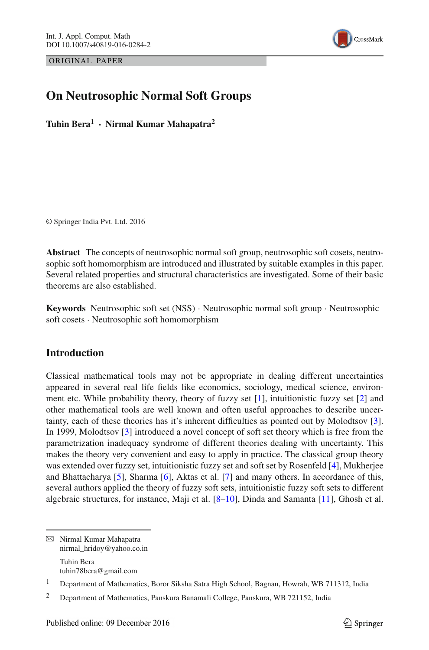ORIGINAL PAPER



# **On Neutrosophic Normal Soft Groups**

**Tuhin Bera<sup>1</sup> · Nirmal Kumar Mahapatra<sup>2</sup>**

© Springer India Pvt. Ltd. 2016

**Abstract** The concepts of neutrosophic normal soft group, neutrosophic soft cosets, neutrosophic soft homomorphism are introduced and illustrated by suitable examples in this paper. Several related properties and structural characteristics are investigated. Some of their basic theorems are also established.

**Keywords** Neutrosophic soft set (NSS) · Neutrosophic normal soft group · Neutrosophic soft cosets · Neutrosophic soft homomorphism

## **Introduction**

Classical mathematical tools may not be appropriate in dealing different uncertainties appeared in several real life fields like economics, sociology, medical science, environment etc. While probability theory, theory of fuzzy set [\[1](#page-18-0)], intuitionistic fuzzy set [\[2](#page-18-1)] and other mathematical tools are well known and often useful approaches to describe uncertainty, each of these theories has it's inherent difficulties as pointed out by Molodtsov [\[3\]](#page-18-2). In 1999, Molodtsov [\[3](#page-18-2)] introduced a novel concept of soft set theory which is free from the parametrization inadequacy syndrome of different theories dealing with uncertainty. This makes the theory very convenient and easy to apply in practice. The classical group theory was extended over fuzzy set, intuitionistic fuzzy set and soft set by Rosenfeld [\[4\]](#page-18-3), Mukherjee and Bhattacharya [\[5](#page-18-4)], Sharma [\[6](#page-18-5)], Aktas et al. [\[7](#page-18-6)] and many others. In accordance of this, several authors applied the theory of fuzzy soft sets, intuitionistic fuzzy soft sets to different algebraic structures, for instance, Maji et al.  $[8-10]$  $[8-10]$ , Dinda and Samanta  $[11]$ , Ghosh et al.

B Nirmal Kumar Mahapatra nirmal\_hridoy@yahoo.co.in Tuhin Bera tuhin78bera@gmail.com

<sup>1</sup> Department of Mathematics, Boror Siksha Satra High School, Bagnan, Howrah, WB 711312, India

<sup>2</sup> Department of Mathematics, Panskura Banamali College, Panskura, WB 721152, India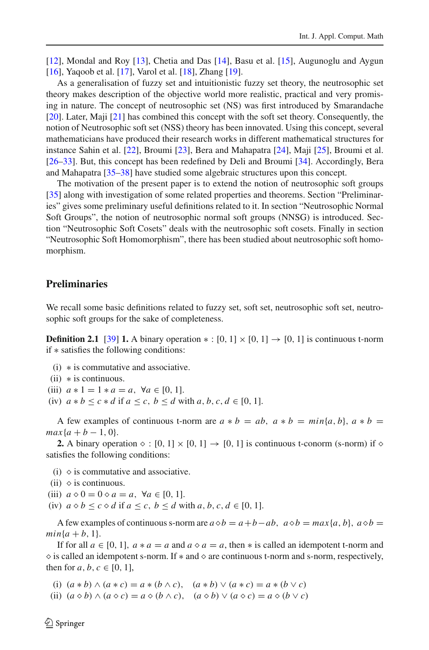[\[12\]](#page-18-10), Mondal and Roy [\[13\]](#page-18-11), Chetia and Das [\[14](#page-18-12)], Basu et al. [\[15](#page-18-13)], Augunoglu and Aygun [\[16\]](#page-18-14), Yaqoob et al. [\[17](#page-18-15)], Varol et al. [\[18\]](#page-18-16), Zhang [\[19\]](#page-18-17).

As a generalisation of fuzzy set and intuitionistic fuzzy set theory, the neutrosophic set theory makes description of the objective world more realistic, practical and very promising in nature. The concept of neutrosophic set (NS) was first introduced by Smarandache [\[20\]](#page-18-18). Later, Maji [\[21](#page-18-19)] has combined this concept with the soft set theory. Consequently, the notion of Neutrosophic soft set (NSS) theory has been innovated. Using this concept, several mathematicians have produced their research works in different mathematical structures for instance Sahin et al. [\[22](#page-18-20)], Broumi [\[23\]](#page-18-21), Bera and Mahapatra [\[24\]](#page-18-22), Maji [\[25](#page-18-23)], Broumi et al. [\[26](#page-18-24)[–33](#page-19-0)]. But, this concept has been redefined by Deli and Broumi [\[34](#page-19-1)]. Accordingly, Bera and Mahapatra [\[35](#page-19-2)[–38\]](#page-19-3) have studied some algebraic structures upon this concept.

The motivation of the present paper is to extend the notion of neutrosophic soft groups [\[35\]](#page-19-2) along with investigation of some related properties and theorems. Section "Preliminaries" gives some preliminary useful definitions related to it. In section "Neutrosophic Normal Soft Groups", the notion of neutrosophic normal soft groups (NNSG) is introduced. Section "Neutrosophic Soft Cosets" deals with the neutrosophic soft cosets. Finally in section "Neutrosophic Soft Homomorphism", there has been studied about neutrosophic soft homomorphism.

## **Preliminaries**

We recall some basic definitions related to fuzzy set, soft set, neutrosophic soft set, neutrosophic soft groups for the sake of completeness.

**Definition 2.1** [\[39\]](#page-19-4) **1.** A binary operation  $*:[0, 1] \times [0, 1] \rightarrow [0, 1]$  is continuous t-norm if ∗ satisfies the following conditions:

- (i) ∗ is commutative and associative.
- $(ii)$  \* is continuous.
- (iii)  $a * 1 = 1 * a = a, \forall a \in [0, 1].$
- (iv)  $a * b \leq c * d$  if  $a \leq c, b \leq d$  with  $a, b, c, d \in [0, 1]$ .

A few examples of continuous t-norm are  $a * b = ab$ ,  $a * b = min\{a, b\}$ ,  $a * b =$  $max{a + b - 1, 0}.$ 

**2.** A binary operation  $\diamond : [0, 1] \times [0, 1] \rightarrow [0, 1]$  is continuous t-conorm (s-norm) if  $\diamond$ satisfies the following conditions:

- (i)  $\Diamond$  is commutative and associative.
- (ii)  $\Diamond$  is continuous.
- (iii)  $a \diamond 0 = 0 \diamond a = a, \ \forall a \in [0, 1].$
- (iv)  $a \diamond b \leq c \diamond d$  if  $a \leq c$ ,  $b \leq d$  with  $a, b, c, d \in [0, 1]$ .

A few examples of continuous s-norm are  $a \diamond b = a + b - ab$ ,  $a \diamond b = max\{a, b\}$ ,  $a \diamond b =$  $min\{a+b, 1\}.$ 

If for all  $a \in [0, 1]$ ,  $a * a = a$  and  $a \diamond a = a$ , then  $*$  is called an idempotent t-norm and  $\Diamond$  is called an idempotent s-norm. If  $\ast$  and  $\Diamond$  are continuous t-norm and s-norm, respectively, then for  $a, b, c \in [0, 1]$ ,

(i)  $(a * b) \wedge (a * c) = a * (b \wedge c), (a * b) \vee (a * c) = a * (b \vee c)$ 

(ii)  $(a \diamond b) \land (a \diamond c) = a \diamond (b \land c), (a \diamond b) \lor (a \diamond c) = a \diamond (b \lor c)$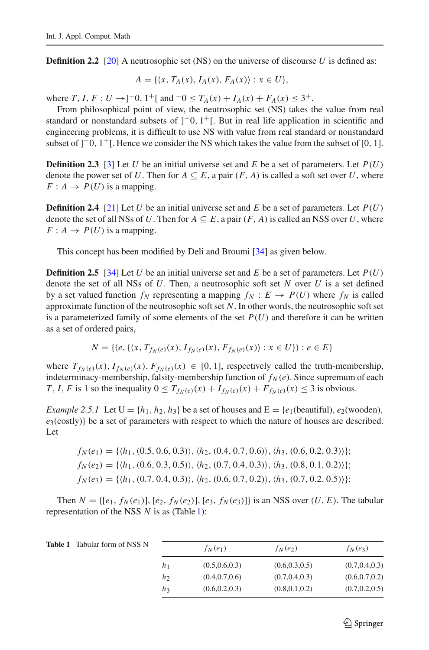**Definition 2.2** [\[20\]](#page-18-18) A neutrosophic set (NS) on the universe of discourse *U* is defined as:

$$
A = \{ \langle x, T_A(x), I_A(x), F_A(x) \rangle : x \in U \},\
$$

where  $T, I, F: U \rightarrow ]-0, 1^+[$  and  $-0 \le T_A(x) + I_A(x) + F_A(x) \le 3^+$ .

From philosophical point of view, the neutrosophic set (NS) takes the value from real standard or nonstandard subsets of  $]$ <sup>-0</sup>,  $1$ <sup>+</sup>[. But in real life application in scientific and engineering problems, it is difficult to use NS with value from real standard or nonstandard subset of  $]$ <sup>-</sup>0,  $1$ <sup>+</sup>[. Hence we consider the NS which takes the value from the subset of [0, 1].

**Definition 2.3** [\[3](#page-18-2)] Let *U* be an initial universe set and *E* be a set of parameters. Let  $P(U)$ denote the power set of *U*. Then for  $A \subseteq E$ , a pair  $(F, A)$  is called a soft set over *U*, where  $F: A \rightarrow P(U)$  is a mapping.

**Definition 2.4** [\[21\]](#page-18-19) Let *U* be an initial universe set and *E* be a set of parameters. Let  $P(U)$ denote the set of all NSs of *U*. Then for  $A \subseteq E$ , a pair  $(F, A)$  is called an NSS over *U*, where  $F: A \rightarrow P(U)$  is a mapping.

This concept has been modified by Deli and Broumi [\[34](#page-19-1)] as given below.

**Definition 2.5** [\[34\]](#page-19-1) Let *U* be an initial universe set and *E* be a set of parameters. Let  $P(U)$ denote the set of all NSs of *U*. Then, a neutrosophic soft set *N* over *U* is a set defined by a set valued function  $f_N$  representing a mapping  $f_N : E \to P(U)$  where  $f_N$  is called approximate function of the neutrosophic soft set *N*. In other words, the neutrosophic soft set is a parameterized family of some elements of the set  $P(U)$  and therefore it can be written as a set of ordered pairs,

$$
N = \{ (e, \{ \langle x, T_{f_N(e)}(x), I_{f_N(e)}(x), F_{f_N(e)}(x) \rangle : x \in U \}) : e \in E \}
$$

where  $T_{f_N(e)}(x)$ ,  $I_{f_N(e)}(x)$ ,  $F_{f_N(e)}(x) \in [0, 1]$ , respectively called the truth-membership, indeterminacy-membership, falsity-membership function of  $f_N(e)$ . Since supremum of each *T*, *I*, *F* is 1 so the inequality  $0 \le T_{f_N(e)}(x) + I_{f_N(e)}(x) + F_{f_N(e)}(x) \le 3$  is obvious.

*Example 2.5.1* Let  $U = \{h_1, h_2, h_3\}$  be a set of houses and  $E = \{e_1(\text{beautiful}), e_2(\text{wooden}),\}$ *e*3(costly)} be a set of parameters with respect to which the nature of houses are described. Let

 $f_N(e_1) = \{ \langle h_1, (0.5, 0.6, 0.3) \rangle, \langle h_2, (0.4, 0.7, 0.6) \rangle, \langle h_3, (0.6, 0.2, 0.3) \rangle \};$  $f_N(e_2) = \{ \langle h_1, (0.6, 0.3, 0.5) \rangle, \langle h_2, (0.7, 0.4, 0.3) \rangle, \langle h_3, (0.8, 0.1, 0.2) \rangle \};$  $f_N(e_3) = \{ \langle h_1, (0.7, 0.4, 0.3) \rangle, \langle h_2, (0.6, 0.7, 0.2) \rangle, \langle h_3, (0.7, 0.2, 0.5) \rangle \};$ 

Then  $N = \{ [e_1, f_N(e_1)], [e_2, f_N(e_2)], [e_3, f_N(e_3)] \}$  is an NSS over  $(U, E)$ . The tabular representation of the NSS *N* is as (Table [1\)](#page-2-0):

<span id="page-2-0"></span>

| <b>Table 1</b> Tabular form of NSS N |                | $f_N(e_1)$      | $f_N(e_2)$      | $f_N(e_3)$      |
|--------------------------------------|----------------|-----------------|-----------------|-----------------|
|                                      | $h_1$          | (0.5, 0.6, 0.3) | (0.6, 0.3, 0.5) | (0.7, 0.4, 0.3) |
|                                      | h <sub>2</sub> | (0.4, 0.7, 0.6) | (0.7, 0.4, 0.3) | (0.6, 0.7, 0.2) |
|                                      | $h_3$          | (0.6, 0.2, 0.3) | (0.8, 0.1, 0.2) | (0.7, 0.2, 0.5) |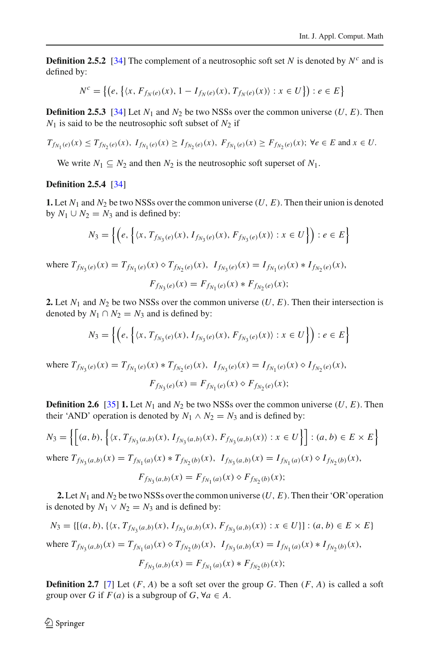**Definition 2.5.2** [\[34](#page-19-1)] The complement of a neutrosophic soft set *N* is denoted by  $N<sup>c</sup>$  and is defined by:

$$
N^{c} = \left\{ \left( e, \left\{ \langle x, F_{f_{N}(e)}(x), 1 - I_{f_{N}(e)}(x), T_{f_{N}(e)}(x) \rangle : x \in U \right\} \right) : e \in E \right\}
$$

**Definition 2.5.3** [\[34](#page-19-1)] Let  $N_1$  and  $N_2$  be two NSSs over the common universe (*U*, *E*). Then  $N_1$  is said to be the neutrosophic soft subset of  $N_2$  if

$$
T_{f_{N_1}(e)}(x) \le T_{f_{N_2}(e)}(x), \ I_{f_{N_1}(e)}(x) \ge I_{f_{N_2}(e)}(x), \ F_{f_{N_1}(e)}(x) \ge F_{f_{N_2}(e)}(x); \ \forall e \in E \text{ and } x \in U.
$$

We write  $N_1 \subseteq N_2$  and then  $N_2$  is the neutrosophic soft superset of  $N_1$ .

### **Definition 2.5.4** [\[34](#page-19-1)]

**1.** Let  $N_1$  and  $N_2$  be two NSSs over the common universe  $(U, E)$ . Then their union is denoted by  $N_1 \cup N_2 = N_3$  and is defined by:

$$
N_3 = \left\{ \left( e, \left\{ \langle x, T_{f_{N_3}(e)}(x), I_{f_{N_3}(e)}(x), F_{f_{N_3}(e)}(x) \rangle : x \in U \right\} \right) : e \in E \right\}
$$

where  $T_{f_{N_3}(e)}(x) = T_{f_{N_1}(e)}(x) \diamond T_{f_{N_2}(e)}(x)$ ,  $I_{f_{N_3}(e)}(x) = I_{f_{N_1}(e)}(x) * I_{f_{N_2}(e)}(x)$ ,  $F_{f_{N_1}(e)}(x) = F_{f_{N_1}(e)}(x) * F_{f_{N_2}(e)}(x);$ 

**2.** Let  $N_1$  and  $N_2$  be two NSSs over the common universe  $(U, E)$ . Then their intersection is denoted by  $N_1 \cap N_2 = N_3$  and is defined by:

$$
N_3 = \left\{ \left( e, \left\{ \langle x, T_{f_{N_3}(e)}(x), I_{f_{N_3}(e)}(x), F_{f_{N_3}(e)}(x) \rangle : x \in U \right\} \right) : e \in E \right\}
$$

where  $T_{f_{N_1}(e)}(x) = T_{f_{N_1}(e)}(x) * T_{f_{N_2}(e)}(x)$ ,  $I_{f_{N_3}(e)}(x) = I_{f_{N_1}(e)}(x) \diamond I_{f_{N_2}(e)}(x)$ ,  $F_{f_{N_2}(e)}(x) = F_{f_{N_1}(e)}(x) \diamond F_{f_{N_2}(e)}(x);$ 

**Definition 2.6** [\[35\]](#page-19-2) **1.** Let  $N_1$  and  $N_2$  be two NSSs over the common universe  $(U, E)$ . Then their 'AND' operation is denoted by  $N_1 \wedge N_2 = N_3$  and is defined by:

$$
N_3 = \left\{ \left[ (a, b), \left\{ \langle x, T_{f_{N_3}(a,b)}(x), I_{f_{N_3}(a,b)}(x), F_{f_{N_3}(a,b)}(x) \rangle : x \in U \right\} \right] : (a, b) \in E \times E \right\}
$$
  
where  $T_{f_{N_3}(a,b)}(x) = T_{f_{N_1}(a)}(x) * T_{f_{N_2}(b)}(x), \quad I_{f_{N_3}(a,b)}(x) = I_{f_{N_1}(a)}(x) \diamond I_{f_{N_2}(b)}(x),$ 

$$
F_{f_{N_3}(a,b)}(x) = F_{f_{N_1}(a)}(x) \diamond F_{f_{N_2}(b)}(x);
$$

**2.** Let  $N_1$  and  $N_2$  be two NSSs over the common universe  $(U, E)$ . Then their 'OR' operation is denoted by  $N_1 \vee N_2 = N_3$  and is defined by:

$$
N_3 = \{ [(a, b), \{ \langle x, T_{f_{N_3}(a,b)}(x), I_{f_{N_3}(a,b)}(x), F_{f_{N_3}(a,b)}(x) \rangle : x \in U \}] : (a, b) \in E \times E \}
$$
  
where  $T_{f_{N_3}(a,b)}(x) = T_{f_{N_1}(a)}(x) \diamond T_{f_{N_2}(b)}(x), \quad I_{f_{N_3}(a,b)}(x) = I_{f_{N_1}(a)}(x) * I_{f_{N_2}(b)}(x),$   

$$
F_{f_{N_3}(a,b)}(x) = F_{f_{N_1}(a)}(x) * F_{f_{N_2}(b)}(x);
$$

**Definition 2.7** [\[7](#page-18-6)] Let  $(F, A)$  be a soft set over the group *G*. Then  $(F, A)$  is called a soft group over *G* if  $F(a)$  is a subgroup of  $G$ ,  $\forall a \in A$ .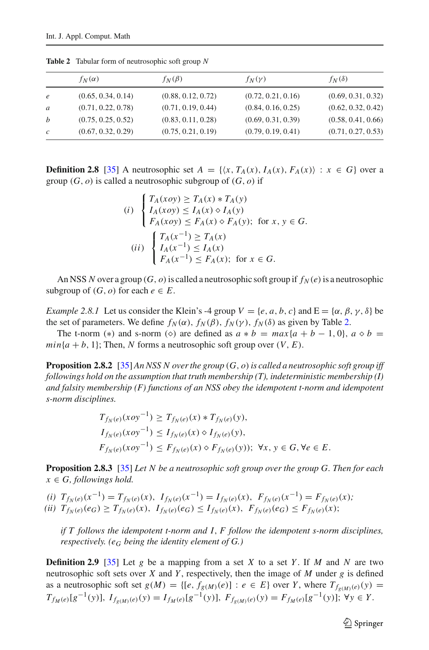|               | $f_N(\alpha)$      | $f_N(\beta)$       | $f_N(\gamma)$      | $f_N(\delta)$      |
|---------------|--------------------|--------------------|--------------------|--------------------|
| $\epsilon$    | (0.65, 0.34, 0.14) | (0.88, 0.12, 0.72) | (0.72, 0.21, 0.16) | (0.69, 0.31, 0.32) |
| a             | (0.71, 0.22, 0.78) | (0.71, 0.19, 0.44) | (0.84, 0.16, 0.25) | (0.62, 0.32, 0.42) |
| b             | (0.75, 0.25, 0.52) | (0.83, 0.11, 0.28) | (0.69, 0.31, 0.39) | (0.58, 0.41, 0.66) |
| $\mathcal{C}$ | (0.67, 0.32, 0.29) | (0.75, 0.21, 0.19) | (0.79, 0.19, 0.41) | (0.71, 0.27, 0.53) |
|               |                    |                    |                    |                    |

<span id="page-4-0"></span>**Table 2** Tabular form of neutrosophic soft group *N*

**Definition 2.8** [\[35\]](#page-19-2) A neutrosophic set  $A = \{(x, T_A(x), I_A(x), F_A(x)) : x \in G\}$  over a group  $(G, o)$  is called a neutrosophic subgroup of  $(G, o)$  if

(i) 
$$
\begin{cases} T_A(xoy) \ge T_A(x) * T_A(y) \\ I_A(xoy) \le I_A(x) \diamond I_A(y) \\ F_A(xoy) \le F_A(x) \diamond F_A(y); \text{ for } x, y \in G. \end{cases}
$$
  
(ii) 
$$
\begin{cases} T_A(x^{-1}) \ge T_A(x) \\ I_A(x^{-1}) \le I_A(x) \\ F_A(x^{-1}) \le F_A(x); \text{ for } x \in G. \end{cases}
$$

An NSS N over a group  $(G, o)$  is called a neutrosophic soft group if  $f_N(e)$  is a neutrosophic subgroup of  $(G, o)$  for each  $e \in E$ .

*Example 2.8.1* Let us consider the Klein's -4 group  $V = \{e, a, b, c\}$  and  $E = \{\alpha, \beta, \gamma, \delta\}$  be the set of parameters. We define  $f_N(\alpha)$ ,  $f_N(\beta)$ ,  $f_N(\gamma)$ ,  $f_N(\delta)$  as given by Table [2.](#page-4-0)

The t-norm (\*) and s-norm ( $\diamond$ ) are defined as  $a * b = max\{a + b - 1, 0\}$ ,  $a \diamond b =$  $min\{a + b, 1\}$ ; Then, *N* forms a neutrosophic soft group over  $(V, E)$ .

**Proposition 2.8.2** [\[35\]](#page-19-2) *An NSS N over the group* (*G*, *o*)*is called a neutrosophic soft group iff followings hold on the assumption that truth membership (T), indeterministic membership (I) and falsity membership (F) functions of an NSS obey the idempotent t-norm and idempotent s-norm disciplines.*

$$
T_{f_N(e)}(xoy^{-1}) \ge T_{f_N(e)}(x) * T_{f_N(e)}(y),
$$
  
\n
$$
I_{f_N(e)}(xoy^{-1}) \le I_{f_N(e)}(x) \diamond I_{f_N(e)}(y),
$$
  
\n
$$
F_{f_N(e)}(xoy^{-1}) \le F_{f_N(e)}(x) \diamond F_{f_N(e)}(y)); \forall x, y \in G, \forall e \in E.
$$

**Proposition 2.8.3** [\[35\]](#page-19-2) *Let N be a neutrosophic soft group over the group G. Then for each*  $x \in G$ , followings hold.

(i)  $T_{f_N(e)}(x^{-1}) = T_{f_N(e)}(x), \ I_{f_N(e)}(x^{-1}) = I_{f_N(e)}(x), \ F_{f_N(e)}(x^{-1}) = F_{f_N(e)}(x);$  $(iii)$   $T_{f_N(e)}(e_G) \geq T_{f_N(e)}(x),$   $I_{f_N(e)}(e_G) \leq I_{f_N(e)}(x),$   $F_{f_N(e)}(e_G) \leq F_{f_N(e)}(x);$ 

*if T follows the idempotent t-norm and I*, *F follow the idempotent s-norm disciplines, respectively. (eG being the identity element of G.)*

**Definition 2.9** [\[35\]](#page-19-2) Let *g* be a mapping from a set *X* to a set *Y* . If *M* and *N* are two neutrosophic soft sets over *X* and *Y* , respectively, then the image of *M* under *g* is defined as a neutrosophic soft set  $g(M) = \{ [e, f_{g(M)}(e)] : e \in E \}$  over *Y*, where  $T_{f_{g(M)}(e)}(y) =$  $T_{f_M(e)}[g^{-1}(y)],$   $I_{f_{e(M)}(e)}(y) = I_{f_M(e)}[g^{-1}(y)],$   $F_{f_{e(M)}(e)}(y) = F_{f_M(e)}[g^{-1}(y)];$   $\forall y \in Y$ .

 $\circled{2}$  Springer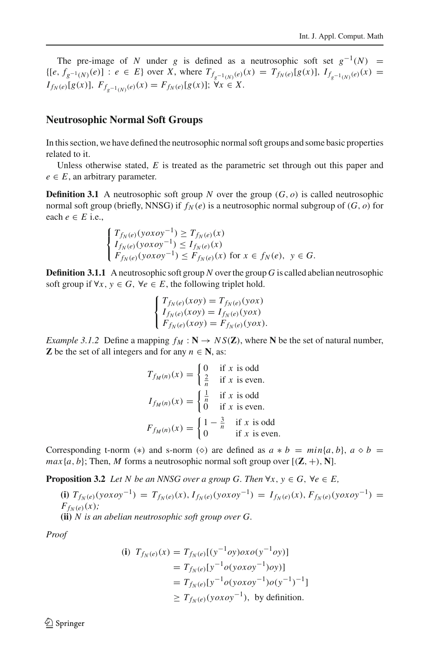The pre-image of *N* under *g* is defined as a neutrosophic soft set  $g^{-1}(N)$  =  $\{ [e, f_{g^{-1}(N)}(e)] : e \in E \}$  over X, where  $T_{f_{g^{-1}(N)}(e)}(x) = T_{f_N(e)}[g(x)],$   $I_{f_{g^{-1}(N)}(e)}(x) =$  $I_{f_N(e)}[g(x)],$   $F_{f_{g^{-1}(N)}(e)}(x) = F_{f_N(e)}[g(x)];$   $\forall x \in X$ .

## **Neutrosophic Normal Soft Groups**

In this section, we have defined the neutrosophic normal soft groups and some basic properties related to it.

Unless otherwise stated, *E* is treated as the parametric set through out this paper and  $e \in E$ , an arbitrary parameter.

**Definition 3.1** A neutrosophic soft group *N* over the group  $(G, o)$  is called neutrosophic normal soft group (briefly, NNSG) if  $f_N(e)$  is a neutrosophic normal subgroup of  $(G, o)$  for each  $e \in E$  i.e.,

$$
\begin{cases}\nT_{f_N(e)}(y\sigma x\sigma y^{-1}) \ge T_{f_N(e)}(x) \\
I_{f_N(e)}(y\sigma x\sigma y^{-1}) \le I_{f_N(e)}(x) \\
F_{f_N(e)}(y\sigma x\sigma y^{-1}) \le F_{f_N(e)}(x) \text{ for } x \in f_N(e), y \in G.\n\end{cases}
$$

**Definition 3.1.1** A neutrosophic soft group *N* over the group *G* is called abelian neutrosophic soft group if  $\forall x, y \in G$ ,  $\forall e \in E$ , the following triplet hold.

$$
\begin{cases}\nT_{f_N(e)}(xoy) = T_{f_N(e)}(yox) \\
I_{f_N(e)}(xoy) = I_{f_N(e)}(yox) \\
F_{f_N(e)}(xoy) = F_{f_N(e)}(yox).\n\end{cases}
$$

*Example 3.1.2* Define a mapping  $f_M : \mathbb{N} \to \text{NS}(\mathbb{Z})$ , where N be the set of natural number, **Z** be the set of all integers and for any  $n \in \mathbb{N}$ , as:

$$
T_{f_M(n)}(x) = \begin{cases} 0 & \text{if } x \text{ is odd} \\ \frac{2}{n} & \text{if } x \text{ is even.} \end{cases}
$$

$$
I_{f_M(n)}(x) = \begin{cases} \frac{1}{n} & \text{if } x \text{ is odd} \\ 0 & \text{if } x \text{ is even.} \end{cases}
$$

$$
F_{f_M(n)}(x) = \begin{cases} 1 - \frac{3}{n} & \text{if } x \text{ is odd} \\ 0 & \text{if } x \text{ is even.} \end{cases}
$$

Corresponding t-norm (\*) and s-norm ( $\diamond$ ) are defined as  $a * b = min\{a, b\}$ ,  $a \diamond b =$  $max\{a, b\}$ ; Then, *M* forms a neutrosophic normal soft group over  $[(\mathbf{Z}, +), \mathbf{N}]$ .

**Proposition 3.2** *Let N be an NNSG over a group G. Then*  $\forall x, y \in G$ ,  $\forall e \in E$ ,

**(i)**  $T_{f_N(e)}(y \circ x \circ y^{-1}) = T_{f_N(e)}(x), I_{f_N(e)}(y \circ x \circ y^{-1}) = I_{f_N(e)}(x), F_{f_N(e)}(y \circ x \circ y^{-1}) =$  $F_{f_N(e)}(x)$ ; **(ii)** *N is an abelian neutrosophic soft group over G.*

*Proof*

(i) 
$$
T_{f_N(e)}(x) = T_{f_N(e)}[(y^{-1}oy)oxo(y^{-1}oy)]
$$
  
\t\t\t\t $= T_{f_N(e)}[y^{-1}o(yoxo y^{-1})oy)]$   
\t\t\t\t $= T_{f_N(e)}[y^{-1}o(yoxo y^{-1})o(y^{-1})^{-1}]$   
\t\t\t $\ge T_{f_N(e)}(yoxo y^{-1}),$  by definition.

 $\circledcirc$  Springer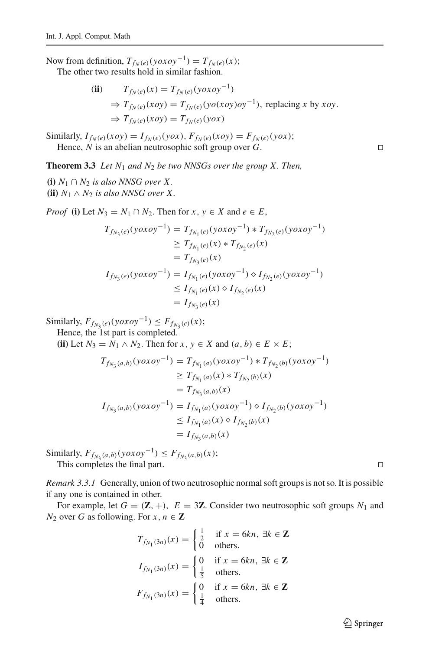Now from definition,  $T_{f_N(e)}(y \circ x \circ y^{-1}) = T_{f_N(e)}(x);$ 

The other two results hold in similar fashion.

(ii) 
$$
T_{f_N(e)}(x) = T_{f_N(e)}(yoxoy^{-1})
$$
  
\n⇒  $T_{f_N(e)}(xoy) = T_{f_N(e)}(yo(xoy)oy^{-1})$ , replacing x by  $xoy$ .  
\n⇒  $T_{f_N(e)}(xoy) = T_{f_N(e)}(yox)$ 

Similarly,  $I_{f_N(e)}(xoy) = I_{f_N(e)}(yox)$ ,  $F_{f_N(e)}(xoy) = F_{f_N(e)}(yox)$ ; Hence, *N* is an abelian neutrosophic soft group over *G*.

**Theorem 3.3** *Let N*<sup>1</sup> *and N*<sup>2</sup> *be two NNSGs over the group X. Then,*

**(i)**  $N_1 \cap N_2$  *is also NNSG over X.* **(ii)**  $N_1 \wedge N_2$  *is also NNSG over X.* 

*Proof* **(i)** Let  $N_3 = N_1 \cap N_2$ . Then for  $x, y \in X$  and  $e \in E$ ,

$$
T_{f_{N_3}(e)}(\mathbf{y} \circ \mathbf{x} \circ \mathbf{y}^{-1}) = T_{f_{N_1}(e)}(\mathbf{y} \circ \mathbf{x} \circ \mathbf{y}^{-1}) * T_{f_{N_2}(e)}(\mathbf{y} \circ \mathbf{x} \circ \mathbf{y}^{-1})
$$
  
\n
$$
\geq T_{f_{N_1}(e)}(\mathbf{x}) * T_{f_{N_2}(e)}(\mathbf{x})
$$
  
\n
$$
= T_{f_{N_3}(e)}(\mathbf{x})
$$
  
\n
$$
I_{f_{N_3}(e)}(\mathbf{y} \circ \mathbf{x} \circ \mathbf{y}^{-1}) = I_{f_{N_1}(e)}(\mathbf{y} \circ \mathbf{x} \circ \mathbf{y}^{-1}) \circ I_{f_{N_2}(e)}(\mathbf{y} \circ \mathbf{x} \circ \mathbf{y}^{-1})
$$
  
\n
$$
\leq I_{f_{N_1}(e)}(\mathbf{x}) \circ I_{f_{N_2}(e)}(\mathbf{x})
$$
  
\n
$$
= I_{f_{N_3}(e)}(\mathbf{x})
$$

Similarly,  $F_{f_{N_3}(e)}(y \circ x \circ y^{-1}) \leq F_{f_{N_3}(e)}(x);$ 

Hence, the 1st part is completed.

(ii) Let  $N_3 = N_1 \wedge N_2$ . Then for  $x, y \in X$  and  $(a, b) \in E \times E$ ;

$$
T_{f_{N_3}(a,b)}(yoxoy^{-1}) = T_{f_{N_1}(a)}(yoxoy^{-1}) * T_{f_{N_2}(b)}(yoxoy^{-1})
$$
  
\n
$$
\geq T_{f_{N_1}(a)}(x) * T_{f_{N_2}(b)}(x)
$$
  
\n
$$
= T_{f_{N_3}(a,b)}(x)
$$
  
\n
$$
I_{f_{N_3}(a,b)}(yoxoy^{-1}) = I_{f_{N_1}(a)}(yoxoy^{-1}) \diamond I_{f_{N_2}(b)}(yoxoy^{-1})
$$
  
\n
$$
\leq I_{f_{N_1}(a)}(x) \diamond I_{f_{N_2}(b)}(x)
$$
  
\n
$$
= I_{f_{N_3}(a,b)}(x)
$$

Similarly,  $F_{f_{N_3}(a,b)}(y \circ x \circ y^{-1}) \leq F_{f_{N_3}(a,b)}(x);$ This completes the final part.

*Remark 3.3.1* Generally, union of two neutrosophic normal soft groups is not so. It is possible if any one is contained in other.

For example, let  $G = (\mathbf{Z}, +)$ ,  $E = 3\mathbf{Z}$ . Consider two neutrosophic soft groups  $N_1$  and *N*<sub>2</sub> over *G* as following. For  $x, n \in \mathbb{Z}$ 

$$
T_{f_{N_1}(3n)}(x) = \begin{cases} \frac{1}{2} & \text{if } x = 6kn, \exists k \in \mathbb{Z} \\ 0 & \text{others.} \end{cases}
$$
\n
$$
I_{f_{N_1}(3n)}(x) = \begin{cases} 0 & \text{if } x = 6kn, \exists k \in \mathbb{Z} \\ \frac{1}{5} & \text{others.} \end{cases}
$$
\n
$$
F_{f_{N_1}(3n)}(x) = \begin{cases} 0 & \text{if } x = 6kn, \exists k \in \mathbb{Z} \\ \frac{1}{4} & \text{others.} \end{cases}
$$

 $\mathcal{D}$  Springer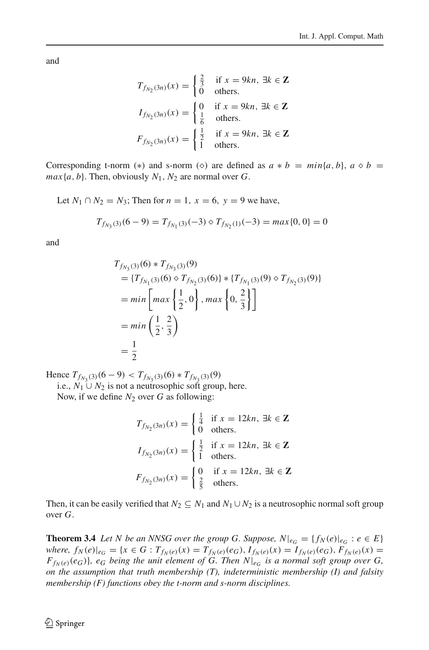and

$$
T_{f_{N_2}(3n)}(x) = \begin{cases} \frac{2}{3} & \text{if } x = 9kn, \exists k \in \mathbb{Z} \\ 0 & \text{others.} \end{cases}
$$
\n
$$
I_{f_{N_2}(3n)}(x) = \begin{cases} 0 & \text{if } x = 9kn, \exists k \in \mathbb{Z} \\ \frac{1}{6} & \text{others.} \end{cases}
$$
\n
$$
F_{f_{N_2}(3n)}(x) = \begin{cases} \frac{1}{2} & \text{if } x = 9kn, \exists k \in \mathbb{Z} \\ 1 & \text{others.} \end{cases}
$$

Corresponding t-norm (\*) and s-norm ( $\diamond$ ) are defined as  $a * b = min\{a, b\}$ ,  $a \diamond b =$  $max\{a, b\}$ . Then, obviously  $N_1, N_2$  are normal over *G*.

Let *N*<sub>1</sub> ∩ *N*<sub>2</sub> = *N*<sub>3</sub>; Then for *n* = 1, *x* = 6, *y* = 9 we have,

$$
T_{f_{N_3}(3)}(6-9) = T_{f_{N_1}(3)}(-3) \diamond T_{f_{N_2}(1)}(-3) = \max\{0, 0\} = 0
$$

and

$$
T_{f_{N_3}(3)}(6) * T_{f_{N_3}(3)}(9)
$$
  
= { $T_{f_{N_1}(3)}(6) \circ T_{f_{N_2}(3)}(6)$  } \* { $T_{f_{N_1}(3)}(9) \circ T_{f_{N_2}(3)}(9)$ }  
= min  $\left[ max \left\{ \frac{1}{2}, 0 \right\}$ , max  $\left\{ 0, \frac{2}{3} \right\} \right]$   
= min  $\left( \frac{1}{2}, \frac{2}{3} \right)$   
=  $\frac{1}{2}$ 

Hence  $T_{f_{N_2}(3)}(6-9) < T_{f_{N_2}(3)}(6) * T_{f_{N_2}(3)}(9)$ 

i.e.,  $N_1$  ∪  $N_2$  is not a neutrosophic soft group, here. Now, if we define  $N_2$  over  $G$  as following:

$$
T_{f_{N_2}(3n)}(x) = \begin{cases} \frac{1}{4} & \text{if } x = 12kn, \exists k \in \mathbb{Z} \\ 0 & \text{others.} \end{cases}
$$

$$
I_{f_{N_2}(3n)}(x) = \begin{cases} \frac{1}{2} & \text{if } x = 12kn, \exists k \in \mathbb{Z} \\ 1 & \text{others.} \end{cases}
$$

$$
F_{f_{N_2}(3n)}(x) = \begin{cases} 0 & \text{if } x = 12kn, \exists k \in \mathbb{Z} \\ \frac{2}{5} & \text{others.} \end{cases}
$$

Then, it can be easily verified that  $N_2 \subseteq N_1$  and  $N_1 \cup N_2$  is a neutrosophic normal soft group over *G*.

**Theorem 3.4** *Let N be an NNSG over the group G. Suppose,*  $N|_{e_G} = \{f_N(e)|_{e_G} : e \in E\}$ where,  $f_N(e)|_{e_G} = \{x \in G : T_{f_N(e)}(x) = T_{f_N(e)}(e_G), I_{f_N(e)}(x) = I_{f_N(e)}(e_G), F_{f_N(e)}(x) =$  $F_{f_N(e)}(e_G)$ ,  $e_G$  *being the unit element of G. Then*  $N|_{e_G}$  *is a normal soft group over G, on the assumption that truth membership (T), indeterministic membership (I) and falsity membership (F) functions obey the t-norm and s-norm disciplines.*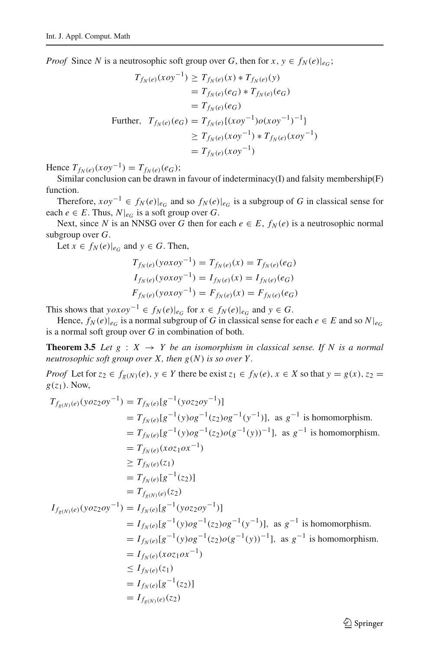*Proof* Since *N* is a neutrosophic soft group over *G*, then for  $x, y \in f_N(e)|_{eG}$ ;

$$
T_{f_N(e)}(xoy^{-1}) \ge T_{f_N(e)}(x) * T_{f_N(e)}(y)
$$
  
=  $T_{f_N(e)}(e_G) * T_{f_N(e)}(e_G)$   
=  $T_{f_N(e)}(e_G)$   
Further,  $T_{f_N(e)}(e_G) = T_{f_N(e)}\{(xoy^{-1})o(xoy^{-1})^{-1}\}$   
 $\ge T_{f_N(e)}(xoy^{-1}) * T_{f_N(e)}(xoy^{-1})$   
=  $T_{f_N(e)}(xoy^{-1})$ 

Hence  $T_{f_N(e)}(xoy^{-1}) = T_{f_N(e)}(e_G);$ 

Similar conclusion can be drawn in favour of indeterminacy(I) and falsity membership(F) function.

Therefore,  $xoy^{-1}$  ∈  $f_N(e)|_{e_G}$  and so  $f_N(e)|_{e_G}$  is a subgroup of *G* in classical sense for each  $e \in E$ . Thus,  $N|_{e_G}$  is a soft group over *G*.

Next, since *N* is an NNSG over *G* then for each  $e \in E$ ,  $f_N(e)$  is a neutrosophic normal subgroup over *G*.

Let  $x \in f_N(e)|_{e_G}$  and  $y \in G$ . Then,

$$
T_{f_N(e)}(\text{yoxoy}^{-1}) = T_{f_N(e)}(x) = T_{f_N(e)}(e_G)
$$
  
\n
$$
I_{f_N(e)}(\text{yoxoy}^{-1}) = I_{f_N(e)}(x) = I_{f_N(e)}(e_G)
$$
  
\n
$$
F_{f_N(e)}(\text{yoxoy}^{-1}) = F_{f_N(e)}(x) = F_{f_N(e)}(e_G)
$$

This shows that *yoxoy*<sup>−1</sup>  $\in$  *f<sub>N</sub>*(*e*)| $e_G$  for  $x \in f_N(e)|_{e_G}$  and  $y \in G$ .

Hence,  $f_N(e)|_{e_G}$  is a normal subgroup of *G* in classical sense for each  $e \in E$  and so  $N|_{e_G}$ is a normal soft group over *G* in combination of both.

**Theorem 3.5** *Let*  $g : X \rightarrow Y$  *be an isomorphism in classical sense. If N is a normal neutrosophic soft group over X, then g*(*N*) *is so over Y .*

*Proof* Let for  $z_2 \in f_{g(N)}(e)$ ,  $y \in Y$  there be exist  $z_1 \in f_N(e)$ ,  $x \in X$  so that  $y = g(x)$ ,  $z_2 = g(x)$  $g(z_1)$ . Now,

$$
T_{f_{g(N)}(e)}(yoz_2oy^{-1}) = T_{f_N(e)}[g^{-1}(yoz_2oy^{-1})]
$$
  
\n
$$
= T_{f_N(e)}[g^{-1}(y)og^{-1}(z_2)og^{-1}(y^{-1})], \text{ as } g^{-1} \text{ is homomorphism.}
$$
  
\n
$$
= T_{f_N(e)}[g^{-1}(y)og^{-1}(z_2)o(g^{-1}(y))^{-1}], \text{ as } g^{-1} \text{ is homomorphism.}
$$
  
\n
$$
= T_{f_N(e)}[g^{-1}(z_2)o(z_2)]
$$
  
\n
$$
= T_{f_N(e)}[g^{-1}(z_2)]
$$
  
\n
$$
= T_{f_N(e)}[g^{-1}(z_2)]
$$
  
\n
$$
= T_{f_N(e)}[g^{-1}(y)og^{-1}(z_2)og^{-1}(y^{-1})], \text{ as } g^{-1} \text{ is homomorphism.}
$$
  
\n
$$
= I_{f_N(e)}[g^{-1}(y)og^{-1}(z_2)og^{-1}(y^{-1})], \text{ as } g^{-1} \text{ is homomorphism.}
$$
  
\n
$$
= I_{f_N(e)}[g^{-1}(y)og^{-1}(z_2)o(g^{-1}(y))^{-1}], \text{ as } g^{-1} \text{ is homomorphism.}
$$
  
\n
$$
= I_{f_N(e)}(z_1)
$$
  
\n
$$
\leq I_{f_N(e)}(z_1)
$$
  
\n
$$
= I_{f_N(e)}[g^{-1}(z_2)]
$$
  
\n
$$
= I_{f_N(e)}[g^{-1}(z_2)]
$$
  
\n
$$
= I_{f_{g(N)}(e)}(z_2)
$$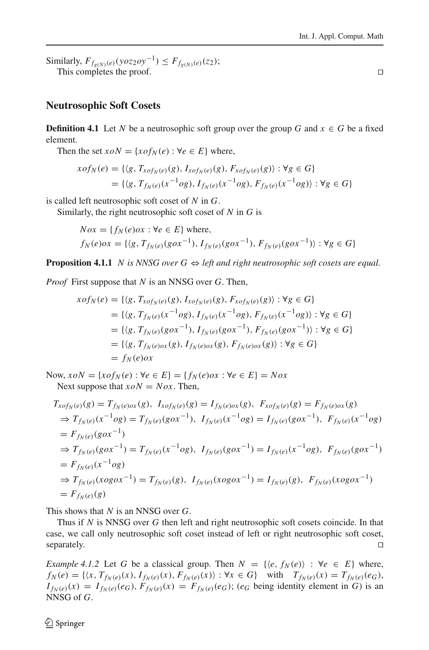Similarly,  $F_{f_{\rho(N)}(e)}(y \cdot \partial z_2 \cdot \partial y^{-1}) \leq F_{f_{\rho(N)}(e)}(z_2);$ This completes the proof.  $\Box$ 

## **Neutrosophic Soft Cosets**

**Definition 4.1** Let *N* be a neutrosophic soft group over the group *G* and  $x \in G$  be a fixed element.

Then the set  $xoN = \{x \circ f_N(e) : \forall e \in E\}$  where,

$$
x \circ f_N(e) = \{ \langle g, T_{x \circ f_N(e)}(g), I_{x \circ f_N(e)}(g), F_{x \circ f_N(e)}(g) \rangle : \forall g \in G \}
$$
  
= \{ \langle g, T\_{f\_N(e)}(x^{-1} \circ g), I\_{f\_N(e)}(x^{-1} \circ g), F\_{f\_N(e)}(x^{-1} \circ g) \rangle : \forall g \in G \}

is called left neutrosophic soft coset of *N* in *G*.

Similarly, the right neutrosophic soft coset of *N* in *G* is

$$
Nox = \{f_N(e) \text{ or } : \forall e \in E\} \text{ where,}
$$
  

$$
f_N(e) \text{ or } = \{\langle g, T_{f_N(e)}(g \text{ or }^{-1}), T_{f_N(e)}(g \text{ or }^{-1}), F_{f_N(e)}(g \text{ or }^{-1})\rangle : \forall g \in G\}
$$

**Proposition 4.1.1** *N is NNSG over*  $G \Leftrightarrow$  *left and right neutrosophic soft cosets are equal.* 

*Proof* First suppose that *N* is an NNSG over *G*. Then,

$$
x \circ f_N(e) = \{ \langle g, T_{x \circ f_N(e)}(g), I_{x \circ f_N(e)}(g), F_{x \circ f_N(e)}(g) \rangle : \forall g \in G \}
$$
  
= 
$$
\{ \langle g, T_{f_N(e)}(x^{-1} \circ g), I_{f_N(e)}(x^{-1} \circ g), F_{f_N(e)}(x^{-1} \circ g) \rangle : \forall g \in G \}
$$
  
= 
$$
\{ \langle g, T_{f_N(e)}(g \circ x^{-1}), I_{f_N(e)}(g \circ x^{-1}), F_{f_N(e)}(g \circ x^{-1}) \rangle : \forall g \in G \}
$$
  
= 
$$
\{ \langle g, T_{f_N(e) \circ x}(g), I_{f_N(e) \circ x}(g), F_{f_N(e) \circ x}(g) \rangle : \forall g \in G \}
$$
  
= 
$$
f_N(e) \circ x
$$

Now,  $xoN = \{x \circ f_N(e) : \forall e \in E\} = \{f_N(e) \circ x : \forall e \in E\} = Nox$ Next suppose that  $xoN = Nox$ . Then,

$$
T_{xof_N(e)}(g) = T_{f_N(e)\alpha x}(g), I_{xof_N(e)}(g) = I_{f_N(e)\alpha x}(g), F_{xof_N(e)}(g) = F_{f_N(e)\alpha x}(g)
$$
  
\n
$$
\Rightarrow T_{f_N(e)}(x^{-1}og) = T_{f_N(e)}(g\alpha x^{-1}), I_{f_N(e)}(x^{-1}og) = I_{f_N(e)}(g\alpha x^{-1}), F_{f_N(e)}(x^{-1}og)
$$
  
\n
$$
= F_{f_N(e)}(g\alpha x^{-1})
$$
  
\n
$$
\Rightarrow T_{f_N(e)}(g\alpha x^{-1}) = T_{f_N(e)}(x^{-1}og), I_{f_N(e)}(g\alpha x^{-1}) = I_{f_N(e)}(x^{-1}og), F_{f_N(e)}(g\alpha x^{-1})
$$
  
\n
$$
= F_{f_N(e)}(x^{-1}og)
$$
  
\n
$$
\Rightarrow T_{f_N(e)}(xog\alpha x^{-1}) = T_{f_N(e)}(g), I_{f_N(e)}(xog\alpha x^{-1}) = I_{f_N(e)}(g), F_{f_N(e)}(xog\alpha x^{-1})
$$
  
\n
$$
= F_{f_N(e)}(g)
$$

This shows that *N* is an NNSG over *G*.

Thus if *N* is NNSG over *G* then left and right neutrosophic soft cosets coincide. In that case, we call only neutrosophic soft coset instead of left or right neutrosophic soft coset, separately.  $\square$ 

*Example 4.1.2* Let *G* be a classical group. Then  $N = \{(e, f_N(e)) : \forall e \in E\}$  where,  $f_N(e) = \{ \langle x, T_{f_N(e)}(x), I_{f_N(e)}(x), F_{f_N(e)}(x) \rangle : \forall x \in G \}$  with  $T_{f_N(e)}(x) = T_{f_N(e)}(e_G)$ ,  $I_{f_N(e)}(x) = I_{f_N(e)}(e_G), F_{f_N(e)}(x) = F_{f_N(e)}(e_G); (e_G \text{ being identity element in } G)$  is an NNSG of *G*.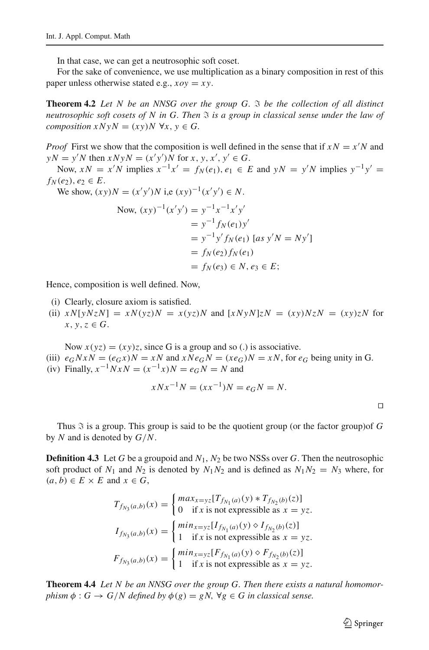In that case, we can get a neutrosophic soft coset.

For the sake of convenience, we use multiplication as a binary composition in rest of this paper unless otherwise stated e.g., *xoy* = *x y*.

**Theorem 4.2** *Let N be an NNSG over the group G. be the collection of all distinct neutrosophic soft cosets of N in G. Then is a group in classical sense under the law of composition*  $x N y N = (xy) N \ \forall x, y \in G$ .

*Proof* First we show that the composition is well defined in the sense that if  $xN = x^{\prime}N$  and  $yN = y'N$  then  $xNyN = (x'y')N$  for  $x, y, x', y' \in G$ .

Now,  $xN = x^{\prime}N$  implies  $x^{-1}x' = f_N(e_1), e_1 \in E$  and  $yN = y^{\prime}N$  implies  $y^{-1}y' =$ *f<sub>N</sub>*(*e*<sub>2</sub>), *e*<sub>2</sub>  $\in E$ .

We show,  $(xy)N = (x'y')N$  i,e  $(xy)^{-1}(x'y') \in N$ .

Now, 
$$
(xy)^{-1}(x'y') = y^{-1}x^{-1}x'y'
$$
  
\t\t\t\t $= y^{-1}f_N(e_1)y'$   
\t\t\t\t $= y^{-1}y'f_N(e_1)$  [as  $y'N = Ny'$ ]  
\t\t\t\t $= f_N(e_2)f_N(e_1)$   
\t\t\t\t $= f_N(e_3) \in N, e_3 \in E;$ 

Hence, composition is well defined. Now,

- (i) Clearly, closure axiom is satisfied.
- (ii)  $xN[yNzN] = xN(yz)N = x(yz)N$  and  $[xNyN]zN = (xy)NzN = (xy)zN$  for  $x, y, z \in G$ .

Now  $x(yz) = (xy)z$ , since G is a group and so (.) is associative.

- (iii)  $e_G N x N = (e_G x) N = x N$  and  $x N e_G N = (x e_G) N = x N$ , for  $e_G$  being unity in G.
- (iv) Finally,  $x^{-1}NxN = (x^{-1}x)N = e_GN = N$  and

$$
xNx^{-1}N = (xx^{-1})N = e_GN = N.
$$

 $\Box$ 

Thus  $\Im$  is a group. This group is said to be the quotient group (or the factor group)of G by *N* and is denoted by *G*/*N*.

**Definition 4.3** Let *G* be a groupoid and  $N_1$ ,  $N_2$  be two NSSs over *G*. Then the neutrosophic soft product of  $N_1$  and  $N_2$  is denoted by  $N_1N_2$  and is defined as  $N_1N_2 = N_3$  where, for  $(a, b) \in E \times E$  and  $x \in G$ ,

$$
T_{f_{N_3}(a,b)}(x) = \begin{cases} \max_{x=yz} [T_{f_{N_1}(a)}(y) * T_{f_{N_2}(b)}(z)] \\ 0 & \text{if } x \text{ is not expressible as } x = yz. \end{cases}
$$
  
\n
$$
I_{f_{N_3}(a,b)}(x) = \begin{cases} \min_{x=yz} [I_{f_{N_1}(a)}(y) \diamond I_{f_{N_2}(b)}(z)] \\ 1 & \text{if } x \text{ is not expressible as } x = yz. \end{cases}
$$
  
\n
$$
F_{f_{N_3}(a,b)}(x) = \begin{cases} \min_{x=yz} [F_{f_{N_1}(a)}(y) \diamond F_{f_{N_2}(b)}(z)] \\ 1 & \text{if } x \text{ is not expressible as } x = yz. \end{cases}
$$

**Theorem 4.4** *Let N be an NNSG over the group G. Then there exists a natural homomorphism*  $\phi$  :  $G \rightarrow G/N$  *defined by*  $\phi(g) = gN$ ,  $\forall g \in G$  *in classical sense.*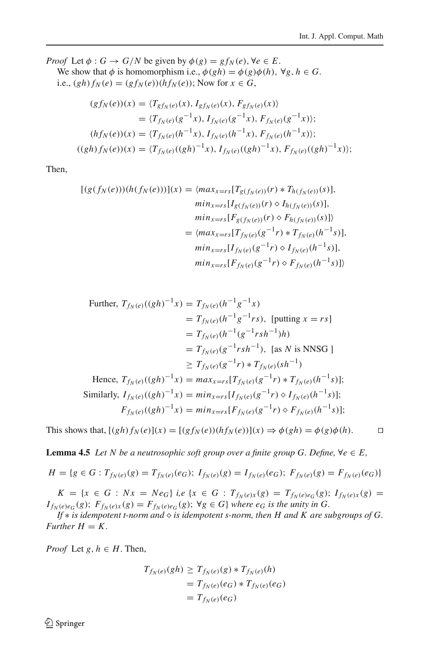*Proof* Let  $\phi$  :  $G \rightarrow G/N$  be given by  $\phi(g) = gf_N(e)$ ,  $\forall e \in E$ . We show that  $\phi$  is homomorphism i.e.,  $\phi(gh) = \phi(g)\phi(h)$ ,  $\forall g, h \in G$ . i.e.,  $(gh) f_N(e) = (gf_N(e))(hf_N(e))$ ; Now for  $x \in G$ ,

$$
(gf_N(e))(x) = \langle T_{gf_N(e)}(x), I_{gf_N(e)}(x), F_{gf_N(e)}(x) \rangle
$$
  
\n
$$
= \langle T_{f_N(e)}(g^{-1}x), I_{f_N(e)}(g^{-1}x), F_{f_N(e)}(g^{-1}x) \rangle;
$$
  
\n
$$
(hf_N(e))(x) = \langle T_{f_N(e)}(h^{-1}x), I_{f_N(e)}(h^{-1}x), F_{f_N(e)}(h^{-1}x) \rangle;
$$
  
\n
$$
((gh)f_N(e))(x) = \langle T_{f_N(e)}((gh)^{-1}x), I_{f_N(e)}((gh)^{-1}x), F_{f_N(e)}((gh)^{-1}x) \rangle;
$$

Then,

$$
[(g(f_N(e)))(h(f_N(e)))](x) = \langle max_{x=rs}[T_{g(f_N(e))}(r) * T_{h(f_N(e))}(s)],
$$
  
\n
$$
min_{x=rs}[I_{g(f_N(e))}(r) \diamond I_{h(f_N(e))}(s)],
$$
  
\n
$$
min_{x=rs}[F_{g(f_N(e))}(r) \diamond F_{h(f_N(e))}(s)]\rangle
$$
  
\n
$$
= \langle max_{x=rs}[T_{f_N(e)}(g^{-1}r) * T_{f_N(e)}(h^{-1}s)],
$$
  
\n
$$
min_{x=rs}[I_{f_N(e)}(g^{-1}r) \diamond I_{f_N(e)}(h^{-1}s)],
$$
  
\n
$$
min_{x=rs}[F_{f_N(e)}(g^{-1}r) \diamond F_{f_N(e)}(h^{-1}s)]\rangle
$$

$$
min_{x=rs}[F_{g(f_N(e))}(r) \diamond F_{h(f_N(e))}(s)],
$$
  
\n
$$
min_{x=rs}[F_{g(f_N(e))}(r) \diamond F_{h(f_N(e))}(s)]
$$
  
\n
$$
= \langle max_{x=rs}[T_{f_N(e)}(g^{-1}r) * T_{f_N(e)}(h^{-1}s)],
$$
  
\n
$$
min_{x=rs}[I_{f_N(e)}(g^{-1}r) \diamond I_{f_N(e)}(h^{-1}s)],
$$
  
\n
$$
min_{x=rs}[F_{f_N(e)}(g^{-1}r) \diamond F_{f_N(e)}(h^{-1}s)]
$$

Further, 
$$
T_{f_N(e)}((gh)^{-1}x) = T_{f_N(e)}(h^{-1}g^{-1}x)
$$
  
\n
$$
= T_{f_N(e)}(h^{-1}g^{-1}rs), \text{ [putting } x = rs]
$$
\n
$$
= T_{f_N(e)}(h^{-1}(g^{-1}rsh^{-1})h)
$$
\n
$$
= T_{f_N(e)}(g^{-1}rsh^{-1}), \text{ [as } N \text{ is NNSG]}
$$
\n
$$
\geq T_{f_N(e)}(g^{-1}r) * T_{f_N(e)}(sh^{-1})
$$
\nHence,  $T_{f_N(e)}((gh)^{-1}x) = max_{x=rs}[T_{f_N(e)}(g^{-1}r) * T_{f_N(e)}(h^{-1}s)];$   
\nSimilarly,  $I_{f_N(e)}((gh)^{-1}x) = min_{x=rs}[I_{f_N(e)}(g^{-1}r) \diamond I_{f_N(e)}(h^{-1}s)];$   
\n $F_{f_N(e)}((gh)^{-1}x) = min_{x=rs}[F_{f_N(e)}(g^{-1}r) \diamond F_{f_N(e)}(h^{-1}s)];$ 

This shows that,  $[(gh)f_N(e)](x) = [(gf_N(e))(hf_N(e))](x) \Rightarrow \phi(gh) = \phi(g)\phi(h).$ 

<span id="page-11-0"></span>**Lemma 4.5** *Let N be a neutrosophic soft group over a finite group G. Define,*  $\forall e \in E$ ,

$$
H = \{ g \in G : T_{f_N(e)}(g) = T_{f_N(e)}(e_G); \ I_{f_N(e)}(g) = I_{f_N(e)}(e_G); \ F_{f_N(e)}(g) = F_{f_N(e)}(e_G) \}
$$

 $K = \{x \in G : Nx = Ne_G\}$  i,  $e \{x \in G : T_{f_N(e)x}(g) = T_{f_N(e)e_G}(g); I_{f_N(e)x}(g) =$  $I_{f_N(e)e_G}(g)$ ;  $F_{f_N(e)x}(g) = F_{f_N(e)e_G}(g)$ ;  $\forall g \in G$ } *where e<sub>G</sub> is the unity in G.* 

*If* ∗ *is idempotent t-norm and is idempotent s-norm, then H and K are subgroups of G.*  $Further H = K.$ 

*Proof* Let  $g, h \in H$ . Then,

$$
T_{f_N(e)}(gh) \geq T_{f_N(e)}(g) * T_{f_N(e)}(h)
$$
  
= 
$$
T_{f_N(e)}(e_G) * T_{f_N(e)}(e_G)
$$
  
= 
$$
T_{f_N(e)}(e_G)
$$

 $\bigcirc$  Springer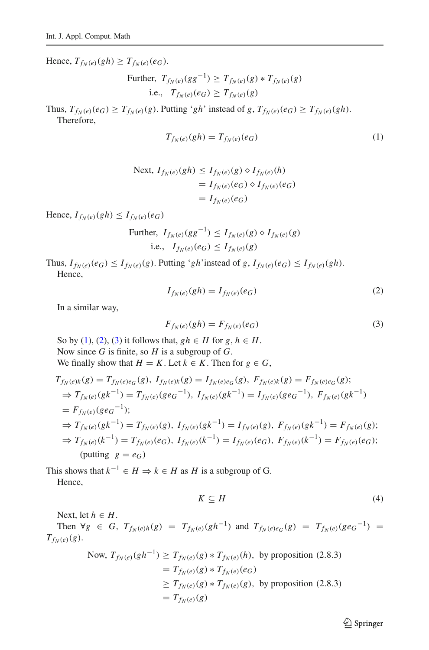$Hence, T_{f_N(e)}(gh) \geq T_{f_N(e)}(e_G).$ 

Further, 
$$
T_{f_N(e)}(gg^{-1}) \geq T_{f_N(e)}(g) * T_{f_N(e)}(g)
$$
  
i.e.,  $T_{f_N(e)}(e_G) \geq T_{f_N(e)}(g)$ 

Thus,  $T_{f_N(e)}(e_G) \geq T_{f_N(e)}(g)$ . Putting '*gh*' instead of *g*,  $T_{f_N(e)}(e_G) \geq T_{f_N(e)}(gh)$ . Therefore,

<span id="page-12-0"></span>
$$
T_{f_N(e)}(gh) = T_{f_N(e)}(e_G)
$$
\n(1)

Next, 
$$
I_{f_N(e)}(gh) \leq I_{f_N(e)}(g) \diamond I_{f_N(e)}(h)
$$
  
=  $I_{f_N(e)}(e_G) \diamond I_{f_N(e)}(e_G)$   
=  $I_{f_N(e)}(e_G)$ 

Hence,  $I_{f_N(e)}(gh) \leq I_{f_N(e)}(e_G)$ 

Further, 
$$
I_{f_N(e)}(gg^{-1}) \leq I_{f_N(e)}(g) \diamond I_{f_N(e)}(g)
$$
  
i.e.,  $I_{f_N(e)}(e_G) \leq I_{f_N(e)}(g)$ 

Thus,  $I_{f_N(e)}(e_G) \leq I_{f_N(e)}(g)$ . Putting '*gh*'instead of *g*,  $I_{f_N(e)}(e_G) \leq I_{f_N(e)}(gh)$ . Hence,

<span id="page-12-1"></span>
$$
I_{f_N(e)}(gh) = I_{f_N(e)}(e_G)
$$
\n(2)

In a similar way,

<span id="page-12-2"></span>
$$
F_{f_N(e)}(gh) = F_{f_N(e)}(e_G)
$$
\n(3)

So by [\(1\)](#page-12-0), [\(2\)](#page-12-1), [\(3\)](#page-12-2) it follows that,  $gh \in H$  for  $g, h \in H$ . Now since *G* is finite, so *H* is a subgroup of *G*. We finally show that  $H = K$ . Let  $k \in K$ . Then for  $g \in G$ ,

$$
T_{f_N(e)k}(g) = T_{f_N(e)e_G}(g), I_{f_N(e)k}(g) = I_{f_N(e)e_G}(g), F_{f_N(e)k}(g) = F_{f_N(e)e_G}(g);
$$
  
\n
$$
\Rightarrow T_{f_N(e)}(gk^{-1}) = T_{f_N(e)}(ge_G^{-1}), I_{f_N(e)}(gk^{-1}) = I_{f_N(e)}(ge_G^{-1}), F_{f_N(e)}(gk^{-1})
$$
  
\n
$$
= F_{f_N(e)}(ge_G^{-1});
$$
  
\n
$$
\Rightarrow T_{f_N(e)}(gk^{-1}) = T_{f_N(e)}(g), I_{f_N(e)}(gk^{-1}) = I_{f_N(e)}(g), F_{f_N(e)}(gk^{-1}) = F_{f_N(e)}(g);
$$
  
\n
$$
\Rightarrow T_{f_N(e)}(k^{-1}) = T_{f_N(e)}(e_G), I_{f_N(e)}(k^{-1}) = I_{f_N(e)}(e_G), F_{f_N(e)}(k^{-1}) = F_{f_N(e)}(e_G);
$$
  
\n(putting g = e\_G)

This shows that  $k^{-1} \in H \Rightarrow k \in H$  as *H* is a subgroup of G. Hence,

<span id="page-12-3"></span>
$$
K \subseteq H \tag{4}
$$

Next, let  $h \in H$ . Then  $\forall g \in G$ ,  $T_{f_N(e)h}(g) = T_{f_N(e)}(gh^{-1})$  and  $T_{f_N(e)e_G}(g) = T_{f_N(e)}(ge_G^{-1}) =$  $T_{f_N}(e)(g)$ .

Now, 
$$
T_{f_N(e)}(gh^{-1}) \geq T_{f_N(e)}(g) * T_{f_N(e)}(h)
$$
, by proposition (2.8.3)  
=  $T_{f_N(e)}(g) * T_{f_N(e)}(e_G)$   
 $\geq T_{f_N(e)}(g) * T_{f_N(e)}(g)$ , by proposition (2.8.3)  
=  $T_{f_N(e)}(g)$ 

 $\hat{2}$  Springer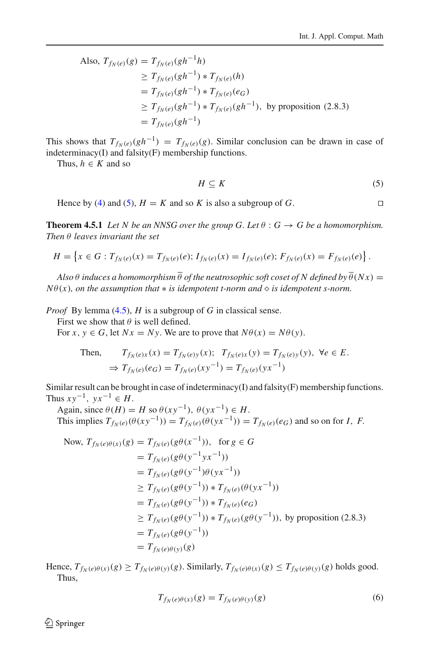Also, 
$$
T_{f_N(e)}(g) = T_{f_N(e)}(gh^{-1}h)
$$
  
\n $\geq T_{f_N(e)}(gh^{-1}) * T_{f_N(e)}(h)$   
\n $= T_{f_N(e)}(gh^{-1}) * T_{f_N(e)}(e_G)$   
\n $\geq T_{f_N(e)}(gh^{-1}) * T_{f_N(e)}(gh^{-1}),$  by proposition (2.8.3)  
\n $= T_{f_N(e)}(gh^{-1})$ 

This shows that  $T_{f_N(e)}(gh^{-1}) = T_{f_N(e)}(g)$ . Similar conclusion can be drawn in case of indeterminacy(I) and falsity(F) membership functions.

Thus,  $h \in K$  and so

<span id="page-13-0"></span>
$$
H \subseteq K \tag{5}
$$

Hence by [\(4\)](#page-12-3) and [\(5\)](#page-13-0),  $H = K$  and so K is also a subgroup of G.

<span id="page-13-1"></span>**Theorem 4.5.1** *Let* N be an NNSG over the group G. Let  $\theta$  :  $G \rightarrow G$  be a homomorphism. *Then* θ *leaves invariant the set*

$$
H = \left\{ x \in G : T_{f_N(e)}(x) = T_{f_N(e)}(e); I_{f_N(e)}(x) = I_{f_N(e)}(e); F_{f_N(e)}(x) = F_{f_N(e)}(e) \right\}.
$$

*Also*  $\theta$  *induces a homomorphism*  $\overline{\theta}$  *of the neutrosophic soft coset of N defined by*  $\overline{\theta}(Nx)$  =  $N\theta(x)$ *, on the assumption that*  $*$  *is idempotent t-norm and*  $\diamond$  *is idempotent s-norm.* 

*Proof* By lemma [\(4.5\)](#page-11-0), *H* is a subgroup of *G* in classical sense.

First we show that  $\theta$  is well defined.

For  $x, y \in G$ , let  $Nx = Ny$ . We are to prove that  $N\theta(x) = N\theta(y)$ .

Then, 
$$
T_{f_N(e)x}(x) = T_{f_N(e)y}(x); T_{f_N(e)x}(y) = T_{f_N(e)y}(y), \forall e \in E.
$$
  
\n $\Rightarrow T_{f_N(e)}(e_G) = T_{f_N(e)}(xy^{-1}) = T_{f_N(e)}(yx^{-1})$ 

Similar result can be brought in case of indeterminacy(I) and falsity(F) membership functions. Thus  $xy^{-1}$ ,  $yx^{-1} \in H$ .

Again, since  $\theta(H) = H$  so  $\theta(xy^{-1}), \theta(yx^{-1}) \in H$ . This implies  $T_{f_N(e)}(\theta(xy^{-1})) = T_{f_N(e)}(\theta(yx^{-1})) = T_{f_N(e)}(e_G)$  and so on for *I*, *F*.

Now, 
$$
T_{f_N(e)\theta(x)}(g) = T_{f_N(e)}(g\theta(x^{-1}))
$$
, for  $g \in G$   
\t\t\t\t $= T_{f_N(e)}(g\theta(y^{-1}yx^{-1}))$   
\t\t\t\t $= T_{f_N(e)}(g\theta(y^{-1})\theta(yx^{-1}))$   
\t\t\t\t $\ge T_{f_N(e)}(g\theta(y^{-1})) * T_{f_N(e)}(\theta(yx^{-1}))$   
\t\t\t\t $= T_{f_N(e)}(g\theta(y^{-1})) * T_{f_N(e)}(e_G)$   
\t\t\t\t $\ge T_{f_N(e)}(g\theta(y^{-1})) * T_{f_N(e)}(g\theta(y^{-1}))$ , by proposition (2.8.3)  
\t\t\t\t $= T_{f_N(e)}(g\theta(y^{-1}))$   
\t\t\t\t $= T_{f_N(e)\theta(y)}(g)$ 

Hence,  $T_{f_N(e)\theta(x)}(g) \geq T_{f_N(e)\theta(y)}(g)$ . Similarly,  $T_{f_N(e)\theta(x)}(g) \leq T_{f_N(e)\theta(y)}(g)$  holds good. Thus,

$$
T_{f_N(e)\theta(x)}(g) = T_{f_N(e)\theta(y)}(g)
$$
\n(6)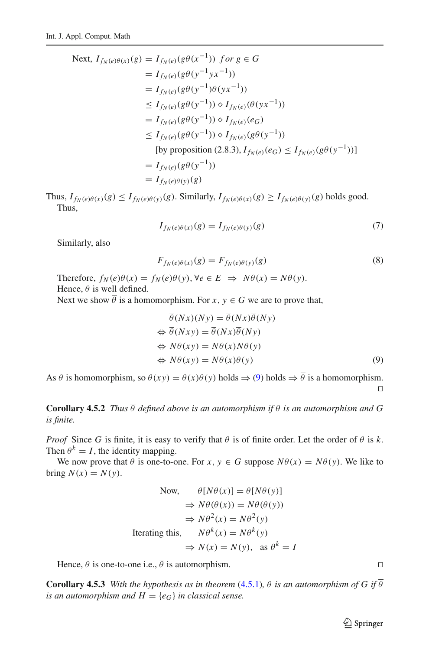Next, 
$$
I_{f_N(e)\theta(x)}(g) = I_{f_N(e)}(g\theta(x^{-1}))
$$
 for  $g \in G$   
\t\t\t\t $= I_{f_N(e)}(g\theta(y^{-1}yx^{-1}))$   
\t\t\t\t $= I_{f_N(e)}(g\theta(y^{-1})\theta(yx^{-1}))$   
\t\t\t\t $\leq I_{f_N(e)}(g\theta(y^{-1})) \diamond I_{f_N(e)}(\theta(yx^{-1}))$   
\t\t\t\t $= I_{f_N(e)}(g\theta(y^{-1})) \diamond I_{f_N(e)}(e_G)$   
\t\t\t\t $\leq I_{f_N(e)}(g\theta(y^{-1})) \diamond I_{f_N(e)}(g\theta(y^{-1}))$   
\t\t\t\t[by proposition (2.8.3),  $I_{f_N(e)}(e_G) \leq I_{f_N(e)}(g\theta(y^{-1}))$   
\t\t\t\t $= I_{f_N(e)}(g\theta(y^{-1}))$   
\t\t\t\t $= I_{f_N(e)\theta(y)}(g)$ 

Thus,  $I_{f_N(e)\theta(x)}(g) \leq I_{f_N(e)\theta(y)}(g)$ . Similarly,  $I_{f_N(e)\theta(x)}(g) \geq I_{f_N(e)\theta(y)}(g)$  holds good. Thus,

$$
I_{f_N(e)\theta(x)}(g) = I_{f_N(e)\theta(y)}(g)
$$
\n<sup>(7)</sup>

Similarly, also

$$
F_{f_N(e)\theta(x)}(g) = F_{f_N(e)\theta(y)}(g)
$$
\n(8)

Therefore,  $f_N(e)\theta(x) = f_N(e)\theta(y)$ ,  $\forall e \in E \implies N\theta(x) = N\theta(y)$ . Hence,  $\theta$  is well defined.

Next we show  $\overline{\theta}$  is a homomorphism. For *x*,  $y \in G$  we are to prove that,

<span id="page-14-0"></span>
$$
\theta(Nx)(Ny) = \theta(Nx)\theta(Ny)
$$
  
\n
$$
\Leftrightarrow \overline{\theta}(Nxy) = \overline{\theta}(Nx)\overline{\theta}(Ny)
$$
  
\n
$$
\Leftrightarrow N\theta(xy) = N\theta(x)N\theta(y)
$$
  
\n
$$
\Leftrightarrow N\theta(xy) = N\theta(x)\theta(y)
$$
\n(9)

As  $\theta$  is homomorphism, so  $\theta(xy) = \theta(x)\theta(y)$  holds  $\Rightarrow \theta$  is a homomorphism.  $\Box$ 

**Corollary 4.5.2** *Thus*  $\overline{\theta}$  *defined above is an automorphism if*  $\theta$  *is an automorphism and* G *is finite.*

*Proof* Since *G* is finite, it is easy to verify that  $\theta$  is of finite order. Let the order of  $\theta$  is  $k$ . Then  $\theta^k = I$ , the identity mapping.

We now prove that  $\theta$  is one-to-one. For *x*,  $y \in G$  suppose  $N\theta(x) = N\theta(y)$ . We like to bring  $N(x) = N(y)$ .

Now, 
$$
\theta[N\theta(x)] = \theta[N\theta(y)]
$$
  
\n $\Rightarrow N\theta(\theta(x)) = N\theta(\theta(y))$   
\n $\Rightarrow N\theta^2(x) = N\theta^2(y)$   
\nIterating this,  $N\theta^k(x) = N\theta^k(y)$   
\n $\Rightarrow N(x) = N(y), \text{ as } \theta^k = I$ 

Hence,  $\theta$  is one-to-one i.e.,  $\overline{\theta}$  is automorphism.

**Corollary 4.5.3** *With the hypothesis as in theorem* [\(4.5.1\)](#page-13-1)*,*  $\theta$  *is an automorphism of G if*  $\overline{\theta}$ *is an automorphism and*  $H = \{e_G\}$  *in classical sense.* 

 $\hat{\mathfrak{D}}$  Springer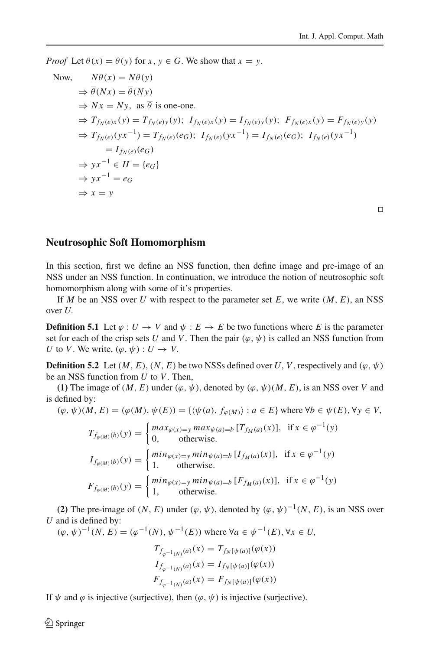*Proof* Let  $\theta(x) = \theta(y)$  for  $x, y \in G$ . We show that  $x = y$ .

Now, 
$$
N\theta(x) = N\theta(y)
$$
  
\n $\Rightarrow \overline{\theta}(Nx) = \overline{\theta}(Ny)$   
\n $\Rightarrow Nx = Ny$ , as  $\overline{\theta}$  is one-one.  
\n $\Rightarrow T_{f_N(e)x}(y) = T_{f_N(e)y}(y)$ ;  $I_{f_N(e)x}(y) = I_{f_N(e)y}(y)$ ;  $F_{f_N(e)x}(y) = F_{f_N(e)y}(y)$   
\n $\Rightarrow T_{f_N(e)}(yx^{-1}) = T_{f_N(e)}(eg)$ ;  $I_{f_N(e)}(yx^{-1}) = I_{f_N(e)}(eg)$ ;  $I_{f_N(e)}(yx^{-1})$   
\n $= I_{f_N(e)}(eg)$   
\n $\Rightarrow yx^{-1} \in H = \{e_G\}$   
\n $\Rightarrow yx^{-1} = e_G$   
\n $\Rightarrow x = y$ 

 $\Box$ 

### **Neutrosophic Soft Homomorphism**

In this section, first we define an NSS function, then define image and pre-image of an NSS under an NSS function. In continuation, we introduce the notion of neutrosophic soft homomorphism along with some of it's properties.

If *M* be an NSS over *U* with respect to the parameter set  $E$ , we write  $(M, E)$ , an NSS over *U*.

**Definition 5.1** Let  $\varphi : U \to V$  and  $\psi : E \to E$  be two functions where *E* is the parameter set for each of the crisp sets *U* and *V*. Then the pair  $(\varphi, \psi)$  is called an NSS function from *U* to *V*. We write,  $(\varphi, \psi) : U \to V$ .

**Definition 5.2** Let  $(M, E)$ ,  $(N, E)$  be two NSSs defined over *U*, *V*, respectively and  $(\varphi, \psi)$ be an NSS function from *U* to *V*. Then,

**(1)** The image of  $(M, E)$  under  $(\varphi, \psi)$ , denoted by  $(\varphi, \psi)(M, E)$ , is an NSS over *V* and is defined by:

$$
(\varphi, \psi)(M, E) = (\varphi(M), \psi(E)) = \{ \langle \psi(a), f_{\varphi(M)} \rangle : a \in E \} \text{ where } \forall b \in \psi(E), \forall y \in V,
$$

 $T_{f_{\varphi(M)}(b)}(y) = \begin{cases} \max_{\varphi(x)=y} \max_{\psi(a)=b} [T_{f_M(a)}(x)], & \text{if } x \in \varphi^{-1}(y) \\ 0 & \text{otherwise} \end{cases}$ 0, otherwise.  $I_{f_{\varphi(M)}(b)}(y) = \begin{cases} \min_{\varphi(x)=y} \min_{\psi(a)=b} [I_{f_M(a)}(x)], & \text{if } x \in \varphi^{-1}(y) \\ 1, & \text{otherwise.} \end{cases}$ 1. otherwise.  $F_{f_{\varphi(M)}(b)}(y) = \begin{cases} min_{\varphi(x)=y} min_{\psi(a)=b} [F_{f_M(a)}(x)], & \text{if } x \in \varphi^{-1}(y) \\ 1, & \text{otherwise.} \end{cases}$ 1, otherwise.

**(2)** The pre-image of  $(N, E)$  under  $(\varphi, \psi)$ , denoted by  $(\varphi, \psi)^{-1}(N, E)$ , is an NSS over *U* and is defined by:

 $(\omega, \psi)^{-1}(N, E) = (\omega^{-1}(N), \psi^{-1}(E))$  where ∀*a* ∈  $\psi^{-1}(E)$ , ∀*x* ∈ *U*,

$$
\begin{aligned} T_{f_{\varphi^{-1}(N)}(a)}(x) &= T_{f_N[\psi(a)]}(\varphi(x)) \\ I_{f_{\varphi^{-1}(N)}(a)}(x) &= I_{f_N[\psi(a)]}(\varphi(x)) \\ F_{f_{\varphi^{-1}(N)}(a)}(x) &= F_{f_N[\psi(a)]}(\varphi(x)) \end{aligned}
$$

If  $\psi$  and  $\varphi$  is injective (surjective), then  $(\varphi, \psi)$  is injective (surjective).

 $\circledcirc$  Springer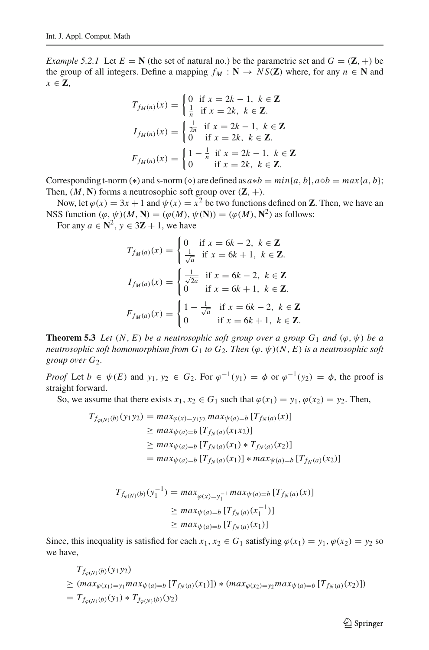*Example 5.2.1* Let  $E = N$  (the set of natural no.) be the parametric set and  $G = (\mathbf{Z}, +)$  be the group of all integers. Define a mapping  $f_M : \mathbf{N} \to NS(\mathbf{Z})$  where, for any  $n \in \mathbf{N}$  and *x* ∈ **Z**,

$$
T_{f_M(n)}(x) = \begin{cases} 0 & \text{if } x = 2k - 1, \ k \in \mathbb{Z} \\ \frac{1}{n} & \text{if } x = 2k, \ k \in \mathbb{Z}. \end{cases}
$$

$$
I_{f_M(n)}(x) = \begin{cases} \frac{1}{2n} & \text{if } x = 2k - 1, \ k \in \mathbb{Z} \\ 0 & \text{if } x = 2k, \ k \in \mathbb{Z}. \end{cases}
$$

$$
F_{f_M(n)}(x) = \begin{cases} 1 - \frac{1}{n} & \text{if } x = 2k - 1, \ k \in \mathbb{Z} \\ 0 & \text{if } x = 2k, \ k \in \mathbb{Z}. \end{cases}
$$

Corresponding t-norm (\*) and s-norm ( $\diamond$ ) are defined as  $a*b = min\{a, b\}$ ,  $a\diamond b = max\{a, b\}$ ; Then,  $(M, N)$  forms a neutrosophic soft group over  $(\mathbb{Z}, +)$ .

Now, let  $\varphi(x) = 3x + 1$  and  $\psi(x) = x^2$  be two functions defined on **Z**. Then, we have an NSS function  $(\varphi, \psi)(M, N) = (\varphi(M), \psi(N)) = (\varphi(M), N^2)$  as follows:

For any  $a \in \mathbb{N}^2$ ,  $y \in 3\mathbb{Z} + 1$ , we have

$$
T_{f_M(a)}(x) = \begin{cases} 0 & \text{if } x = 6k - 2, \ k \in \mathbb{Z} \\ \frac{1}{\sqrt{a}} & \text{if } x = 6k + 1, \ k \in \mathbb{Z}. \end{cases}
$$

$$
I_{f_M(a)}(x) = \begin{cases} \frac{1}{\sqrt{2a}} & \text{if } x = 6k - 2, \ k \in \mathbb{Z} \\ 0 & \text{if } x = 6k + 1, \ k \in \mathbb{Z}. \end{cases}
$$

$$
F_{f_M(a)}(x) = \begin{cases} 1 - \frac{1}{\sqrt{a}} & \text{if } x = 6k - 2, \ k \in \mathbb{Z} \\ 0 & \text{if } x = 6k + 1, \ k \in \mathbb{Z}. \end{cases}
$$

<span id="page-16-0"></span>**Theorem 5.3** *Let*  $(N, E)$  *be a neutrosophic soft group over a group*  $G_1$  *and*  $(\varphi, \psi)$  *be a neutrosophic soft homomorphism from*  $G_1$  *to*  $G_2$ *. Then*  $(\varphi, \psi)(N, E)$  *is a neutrosophic soft group over*  $G_2$ .

*Proof* Let  $b \in \psi(E)$  and  $y_1, y_2 \in G_2$ . For  $\varphi^{-1}(y_1) = \varphi$  or  $\varphi^{-1}(y_2) = \varphi$ , the proof is straight forward.

So, we assume that there exists  $x_1, x_2 \in G_1$  such that  $\varphi(x_1) = y_1, \varphi(x_2) = y_2$ . Then,

$$
T_{f_{\varphi(N)}(b)}(y_1y_2) = \max_{\varphi(x)=y_1y_2} \max_{\psi(a)=b} [T_{f_N(a)}(x)]
$$
  
\n
$$
\geq \max_{\psi(a)=b} [T_{f_N(a)}(x_1x_2)]
$$
  
\n
$$
\geq \max_{\psi(a)=b} [T_{f_N(a)}(x_1) * T_{f_N(a)}(x_2)]
$$
  
\n
$$
= \max_{\psi(a)=b} [T_{f_N(a)}(x_1)] * \max_{\psi(a)=b} [T_{f_N(a)}(x_2)]
$$

$$
T_{f_{\varphi(N)}(b)}(y_1^{-1}) = \max_{\varphi(x)=y_1^{-1}} \max_{\psi(a)=b} [T_{f_N(a)}(x)]
$$
  
\n
$$
\geq \max_{\psi(a)=b} [T_{f_N(a)}(x_1^{-1})]
$$
  
\n
$$
\geq \max_{\psi(a)=b} [T_{f_N(a)}(x_1)]
$$

Since, this inequality is satisfied for each  $x_1, x_2 \in G_1$  satisfying  $\varphi(x_1) = y_1, \varphi(x_2) = y_2$  so we have,

$$
T_{f_{\varphi(N)}(b)}(y_1y_2)
$$
  
\n
$$
\geq (max_{\varphi(x_1)=y_1} max_{\psi(a)=b} [T_{f_N(a)}(x_1)])*(max_{\varphi(x_2)=y_2} max_{\psi(a)=b} [T_{f_N(a)}(x_2)]
$$
  
\n
$$
= T_{f_{\varphi(N)}(b)}(y_1) * T_{f_{\varphi(N)}(b)}(y_2)
$$

 $\hat{\mathfrak{D}}$  Springer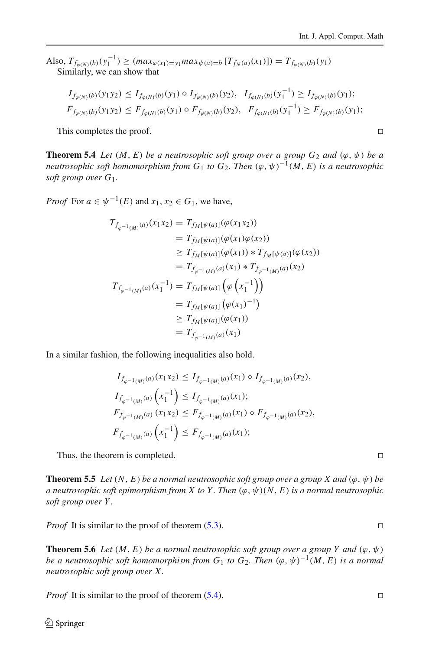$\text{Also, } T_{f_{\varphi(N)}(b)}(y_1^{-1}) \geq (max_{\varphi(x_1)=y_1} max_{\psi(a)=b} [T_{f_N(a)}(x_1)] = T_{f_{\varphi(N)}(b)}(y_1)$ Similarly, we can show that

$$
I_{f_{\varphi(N)}(b)}(y_1y_2) \leq I_{f_{\varphi(N)}(b)}(y_1) \diamond I_{f_{\varphi(N)}(b)}(y_2), \quad I_{f_{\varphi(N)}(b)}(y_1^{-1}) \geq I_{f_{\varphi(N)}(b)}(y_1);
$$
  

$$
F_{f_{\varphi(N)}(b)}(y_1y_2) \leq F_{f_{\varphi(N)}(b)}(y_1) \diamond F_{f_{\varphi(N)}(b)}(y_2), \quad F_{f_{\varphi(N)}(b)}(y_1^{-1}) \geq F_{f_{\varphi(N)}(b)}(y_1);
$$

This completes the proof.

<span id="page-17-0"></span>**Theorem 5.4** *Let*  $(M, E)$  *be a neutrosophic soft group over a group*  $G_2$  *and*  $(\varphi, \psi)$  *be a neutrosophic soft homomorphism from*  $G_1$  *to*  $G_2$ *. Then*  $(\varphi, \psi)^{-1}(M, E)$  *is a neutrosophic soft group over G*1*.*

*Proof* For  $a \in \psi^{-1}(E)$  and  $x_1, x_2 \in G_1$ , we have,

$$
T_{f_{\varphi^{-1}(M)}}(a)(x_1x_2) = T_{f_M[\psi(a)]}(\varphi(x_1x_2))
$$
  
\n
$$
= T_{f_M[\psi(a)]}(\varphi(x_1)\varphi(x_2))
$$
  
\n
$$
\geq T_{f_M[\psi(a)]}(\varphi(x_1)) * T_{f_M[\psi(a)]}(\varphi(x_2))
$$
  
\n
$$
= T_{f_{\varphi^{-1}(M)}}(a)(x_1) * T_{f_{\varphi^{-1}(M)}}(a)(x_2)
$$
  
\n
$$
T_{f_{\varphi^{-1}(M)}}(a)(x_1^{-1}) = T_{f_M[\psi(a)]}(\varphi(x_1^{-1}))
$$
  
\n
$$
= T_{f_M[\psi(a)]}(\varphi(x_1))
$$
  
\n
$$
\geq T_{f_M[\psi(a)]}(\varphi(x_1))
$$
  
\n
$$
= T_{f_{\varphi^{-1}(M)}}(a)(x_1)
$$

In a similar fashion, the following inequalities also hold.

$$
I_{f_{\varphi^{-1}(M)}(a)}(x_1x_2) \leq I_{f_{\varphi^{-1}(M)}(a)}(x_1) \diamond I_{f_{\varphi^{-1}(M)}(a)}(x_2),
$$
  
\n
$$
I_{f_{\varphi^{-1}(M)}(a)}\left(x_1^{-1}\right) \leq I_{f_{\varphi^{-1}(M)}(a)}(x_1);
$$
  
\n
$$
F_{f_{\varphi^{-1}(M)}(a)}(x_1x_2) \leq F_{f_{\varphi^{-1}(M)}(a)}(x_1) \diamond F_{f_{\varphi^{-1}(M)}(a)}(x_2),
$$
  
\n
$$
F_{f_{\varphi^{-1}(M)}(a)}\left(x_1^{-1}\right) \leq F_{f_{\varphi^{-1}(M)}(a)}(x_1);
$$

Thus, the theorem is completed.

**Theorem 5.5** *Let*  $(N, E)$  *be a normal neutrosophic soft group over a group X and*  $(\varphi, \psi)$  *be a neutrosophic soft epimorphism from X to Y. Then*  $(\varphi, \psi)(N, E)$  *is a normal neutrosophic soft group over Y .*

*Proof* It is similar to the proof of theorem [\(5.3\)](#page-16-0). □

**Theorem 5.6** *Let*  $(M, E)$  *be a normal neutrosophic soft group over a group Y and*  $(\varphi, \psi)$ *be a neutrosophic soft homomorphism from*  $G_1$  *to*  $G_2$ *. Then*  $(\varphi, \psi)^{-1}(M, E)$  *is a normal neutrosophic soft group over X.*

*Proof* It is similar to the proof of theorem  $(5.4)$ .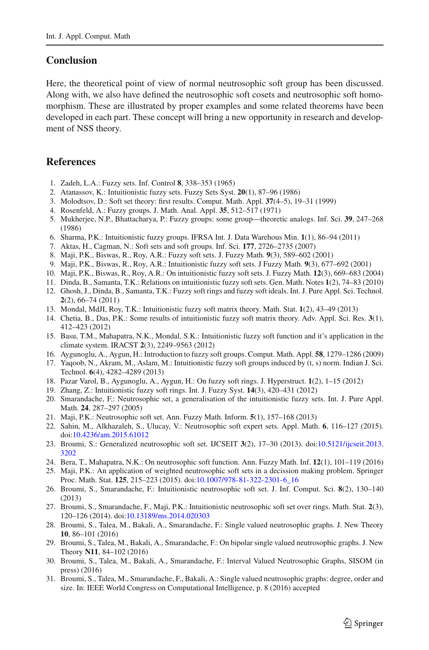## **Conclusion**

Here, the theoretical point of view of normal neutrosophic soft group has been discussed. Along with, we also have defined the neutrosophic soft cosets and neutrosophic soft homomorphism. These are illustrated by proper examples and some related theorems have been developed in each part. These concept will bring a new opportunity in research and development of NSS theory.

# **References**

- <span id="page-18-0"></span>1. Zadeh, L.A.: Fuzzy sets. Inf. Control **8**, 338–353 (1965)
- <span id="page-18-1"></span>2. Atanassov, K.: Intuitionistic fuzzy sets. Fuzzy Sets Syst. **20**(1), 87–96 (1986)
- <span id="page-18-2"></span>3. Molodtsov, D.: Soft set theory: first results. Comput. Math. Appl. **37**(4–5), 19–31 (1999)
- <span id="page-18-3"></span>4. Rosenfeld, A.: Fuzzy groups. J. Math. Anal. Appl. **35**, 512–517 (1971)
- <span id="page-18-4"></span>5. Mukherjee, N.P., Bhattacharya, P.: Fuzzy groups: some group—theoretic analogs. Inf. Sci. **39**, 247–268 (1986)
- <span id="page-18-5"></span>6. Sharma, P.K.: Intuitionistic fuzzy groups. IFRSA Int. J. Data Warehous Min. **1**(1), 86–94 (2011)
- <span id="page-18-6"></span>7. Aktas, H., Cagman, N.: Soft sets and soft groups. Inf. Sci. **177**, 2726–2735 (2007)
- <span id="page-18-7"></span>8. Maji, P.K., Biswas, R., Roy, A.R.: Fuzzy soft sets. J. Fuzzy Math. **9**(3), 589–602 (2001)
- 9. Maji, P.K., Biswas, R., Roy, A.R.: Intuitionistic fuzzy soft sets. J Fuzzy Math. **9**(3), 677–692 (2001)
- <span id="page-18-8"></span>10. Maji, P.K., Biswas, R., Roy, A.R.: On intuitionistic fuzzy soft sets. J. Fuzzy Math. **12**(3), 669–683 (2004)
- <span id="page-18-9"></span>11. Dinda, B., Samanta, T.K.: Relations on intuitionistic fuzzy soft sets. Gen. Math. Notes **1**(2), 74–83 (2010)
- <span id="page-18-10"></span>12. Ghosh, J., Dinda, B., Samanta, T.K.: Fuzzy soft rings and fuzzy soft ideals. Int. J. Pure Appl. Sci. Technol. **2**(2), 66–74 (2011)
- <span id="page-18-11"></span>13. Mondal, MdJI, Roy, T.K.: Intuitionistic fuzzy soft matrix theory. Math. Stat. **1**(2), 43–49 (2013)
- <span id="page-18-12"></span>14. Chetia, B., Das, P.K.: Some results of intuitionistic fuzzy soft matrix theory. Adv. Appl. Sci. Res. **3**(1), 412–423 (2012)
- <span id="page-18-13"></span>15. Basu, T.M., Mahapatra, N.K., Mondal, S.K.: Intuitionistic fuzzy soft function and it's application in the climate system. IRACST **2**(3), 2249–9563 (2012)
- <span id="page-18-14"></span>16. Aygunoglu, A., Aygun, H.: Introduction to fuzzy soft groups. Comput. Math. Appl. **58**, 1279–1286 (2009)
- <span id="page-18-15"></span>17. Yaqoob, N., Akram, M., Aslam, M.: Intuitionistic fuzzy soft groups induced by (t, s) norm. Indian J. Sci. Technol. **6**(4), 4282–4289 (2013)
- <span id="page-18-16"></span>18. Pazar Varol, B., Aygunoglu, A., Aygun, H.: On fuzzy soft rings. J. Hyperstruct. **1**(2), 1–15 (2012)
- <span id="page-18-17"></span>19. Zhang, Z.: Intuitionistic fuzzy soft rings. Int. J. Fuzzy Syst. **14**(3), 420–431 (2012)
- <span id="page-18-18"></span>20. Smarandache, F.: Neutrosophic set, a generalisation of the intuitionistic fuzzy sets. Int. J. Pure Appl. Math. **24**, 287–297 (2005)
- <span id="page-18-19"></span>21. Maji, P.K.: Neutrosophic soft set. Ann. Fuzzy Math. Inform. **5**(1), 157–168 (2013)
- <span id="page-18-20"></span>22. Sahin, M., Alkhazaleh, S., Ulucay, V.: Neutrosophic soft expert sets. Appl. Math. **6**, 116–127 (2015). doi[:10.4236/am.2015.61012](http://dx.doi.org/10.4236/am.2015.61012)
- <span id="page-18-21"></span>23. Broumi, S.: Generalized neutrosophic soft set. IJCSEIT **3**(2), 17–30 (2013). doi[:10.5121/ijcseit.2013.](http://dx.doi.org/10.5121/ijcseit.2013.3202) [3202](http://dx.doi.org/10.5121/ijcseit.2013.3202)
- <span id="page-18-22"></span>24. Bera, T., Mahapatra, N.K.: On neutrosophic soft function. Ann. Fuzzy Math. Inf. **12**(1), 101–119 (2016)
- <span id="page-18-23"></span>25. Maji, P.K.: An application of weighted neutrosophic soft sets in a decission making problem. Springer Proc. Math. Stat. **125**, 215–223 (2015). doi[:10.1007/978-81-322-2301-6\\_16](http://dx.doi.org/10.1007/978-81-322-2301-6_16)
- <span id="page-18-24"></span>26. Broumi, S., Smarandache, F.: Intuitionistic neutrosophic soft set. J. Inf. Comput. Sci. **8**(2), 130–140 (2013)
- 27. Broumi, S., Smarandache, F., Maji, P.K.: Intuitionistic neutrosophic soft set over rings. Math. Stat. **2**(3), 120–126 (2014). doi[:10.13189/ms.2014.020303](http://dx.doi.org/10.13189/ms.2014.020303)
- 28. Broumi, S., Talea, M., Bakali, A., Smarandache, F.: Single valued neutrosophic graphs. J. New Theory **10**, 86–101 (2016)
- 29. Broumi, S., Talea, M., Bakali, A., Smarandache, F.: On bipolar single valued neutrosophic graphs. J. New Theory **N11**, 84–102 (2016)
- 30. Broumi, S., Talea, M., Bakali, A., Smarandache, F.: Interval Valued Neutrosophic Graphs, SISOM (in press) (2016)
- 31. Broumi, S., Talea, M., Smarandache, F., Bakali, A.: Single valued neutrosophic graphs: degree, order and size. In: IEEE World Congress on Computational Intelligence, p. 8 (2016) accepted